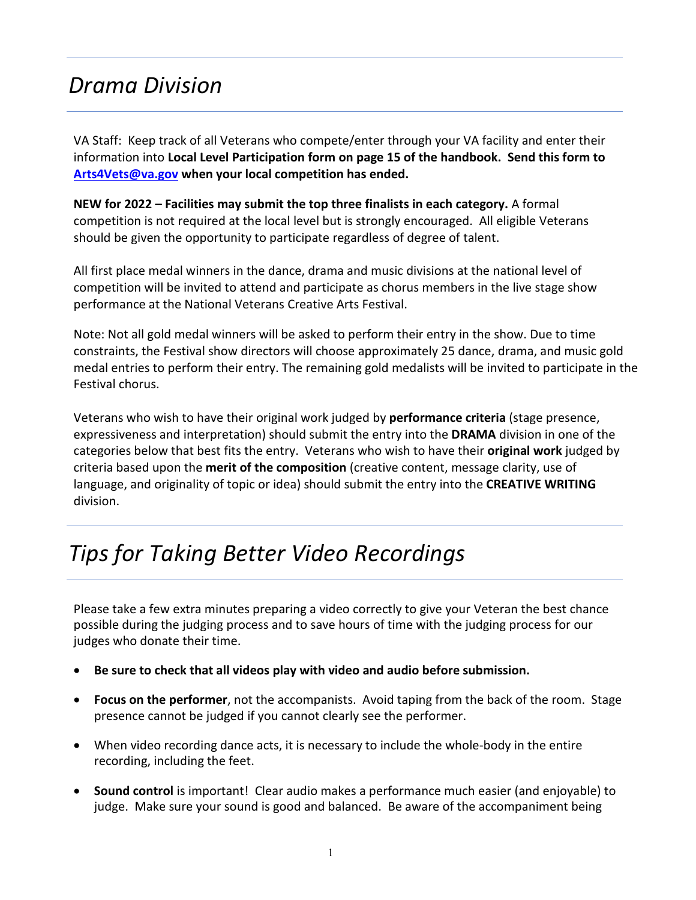### *Drama Division*

VA Staff: Keep track of all Veterans who compete/enter through your VA facility and enter their information into **Local Level Participation form on page 15 of the handbook. Send this form to [Arts4Vets@va.gov](mailto:Arts4Vets@va.gov) when your local competition has ended.**

**NEW for 2022 – Facilities may submit the top three finalists in each category.** A formal competition is not required at the local level but is strongly encouraged. All eligible Veterans should be given the opportunity to participate regardless of degree of talent.

All first place medal winners in the dance, drama and music divisions at the national level of competition will be invited to attend and participate as chorus members in the live stage show performance at the National Veterans Creative Arts Festival.

Note: Not all gold medal winners will be asked to perform their entry in the show. Due to time constraints, the Festival show directors will choose approximately 25 dance, drama, and music gold medal entries to perform their entry. The remaining gold medalists will be invited to participate in the Festival chorus.

Veterans who wish to have their original work judged by **performance criteria** (stage presence, expressiveness and interpretation) should submit the entry into the **DRAMA** division in one of the categories below that best fits the entry. Veterans who wish to have their **original work** judged by criteria based upon the **merit of the composition** (creative content, message clarity, use of language, and originality of topic or idea) should submit the entry into the **CREATIVE WRITING** division.

# *Tips for Taking Better Video Recordings*

Please take a few extra minutes preparing a video correctly to give your Veteran the best chance possible during the judging process and to save hours of time with the judging process for our judges who donate their time.

- **Be sure to check that all videos play with video and audio before submission.**
- **Focus on the performer**, not the accompanists. Avoid taping from the back of the room. Stage presence cannot be judged if you cannot clearly see the performer.
- When video recording dance acts, it is necessary to include the whole-body in the entire recording, including the feet.
- **Sound control** is important! Clear audio makes a performance much easier (and enjoyable) to judge. Make sure your sound is good and balanced. Be aware of the accompaniment being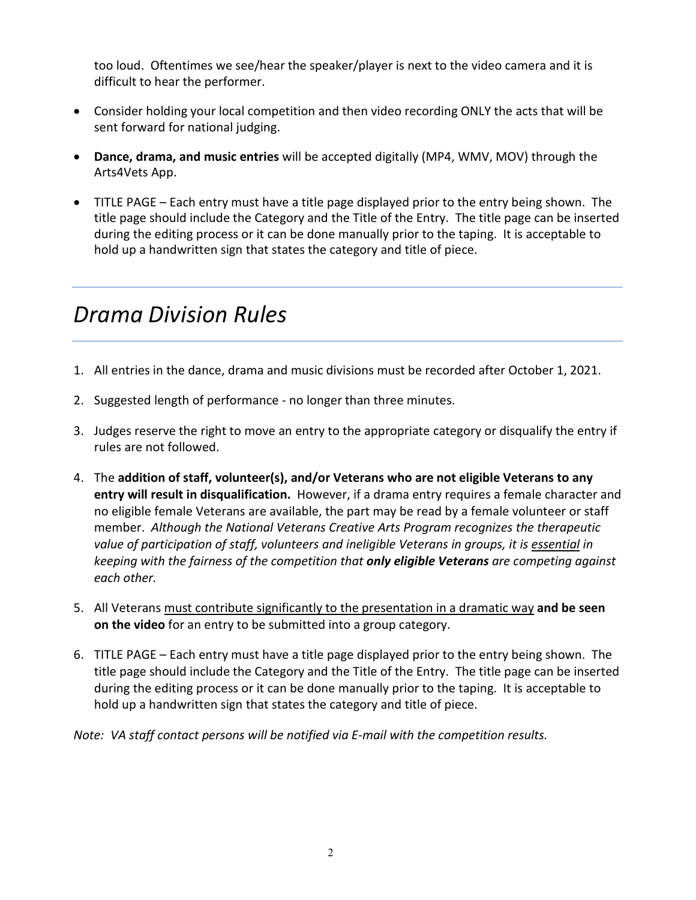too loud. Oftentimes we see/hear the speaker/player is next to the video camera and it is difficult to hear the performer.

- Consider holding your local competition and then video recording ONLY the acts that will be sent forward for national judging.
- **Dance, drama, and music entries** will be accepted digitally (MP4, WMV, MOV) through the Arts4Vets App.
- TITLE PAGE Each entry must have a title page displayed prior to the entry being shown. The title page should include the Category and the Title of the Entry. The title page can be inserted during the editing process or it can be done manually prior to the taping. It is acceptable to hold up a handwritten sign that states the category and title of piece.

## *Drama Division Rules*

- 1. All entries in the dance, drama and music divisions must be recorded after October 1, 2021.
- 2. Suggested length of performance no longer than three minutes.
- 3. Judges reserve the right to move an entry to the appropriate category or disqualify the entry if rules are not followed.
- 4. The **addition of staff, volunteer(s), and/or Veterans who are not eligible Veterans to any entry will result in disqualification.** However, if a drama entry requires a female character and no eligible female Veterans are available, the part may be read by a female volunteer or staff member. *Although the National Veterans Creative Arts Program recognizes the therapeutic value of participation of staff, volunteers and ineligible Veterans in groups, it is essential in keeping with the fairness of the competition that only eligible Veterans are competing against each other.*
- 5. All Veterans must contribute significantly to the presentation in a dramatic way **and be seen on the video** for an entry to be submitted into a group category.
- 6. TITLE PAGE Each entry must have a title page displayed prior to the entry being shown. The title page should include the Category and the Title of the Entry. The title page can be inserted during the editing process or it can be done manually prior to the taping. It is acceptable to hold up a handwritten sign that states the category and title of piece.

*Note: VA staff contact persons will be notified via E-mail with the competition results.*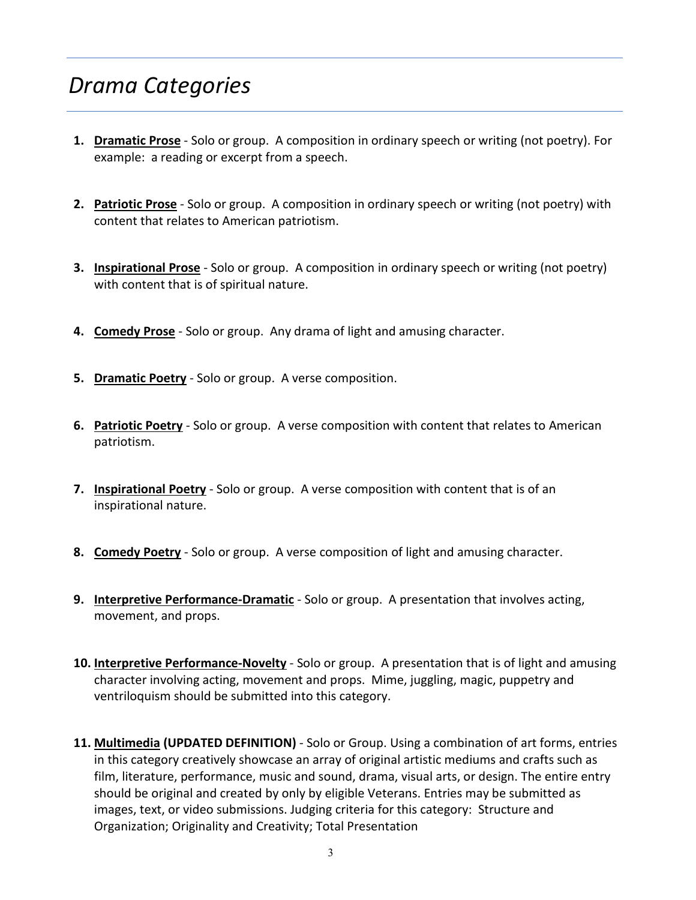### *Drama Categories*

- **1. Dramatic Prose** Solo or group. A composition in ordinary speech or writing (not poetry). For example: a reading or excerpt from a speech.
- **2. Patriotic Prose** Solo or group. A composition in ordinary speech or writing (not poetry) with content that relates to American patriotism.
- **3. Inspirational Prose** Solo or group. A composition in ordinary speech or writing (not poetry) with content that is of spiritual nature.
- **4. Comedy Prose** Solo or group. Any drama of light and amusing character.
- **5. Dramatic Poetry** Solo or group. A verse composition.
- **6. Patriotic Poetry** Solo or group. A verse composition with content that relates to American patriotism.
- **7. Inspirational Poetry** Solo or group. A verse composition with content that is of an inspirational nature.
- **8. Comedy Poetry** Solo or group. A verse composition of light and amusing character.
- **9. Interpretive Performance-Dramatic** Solo or group. A presentation that involves acting, movement, and props.
- **10. Interpretive Performance-Novelty** Solo or group. A presentation that is of light and amusing character involving acting, movement and props. Mime, juggling, magic, puppetry and ventriloquism should be submitted into this category.
- **11. Multimedia (UPDATED DEFINITION)**  Solo or Group. Using a combination of art forms, entries in this category creatively showcase an array of original artistic mediums and crafts such as film, literature, performance, music and sound, drama, visual arts, or design. The entire entry should be original and created by only by eligible Veterans. Entries may be submitted as images, text, or video submissions. Judging criteria for this category: Structure and Organization; Originality and Creativity; Total Presentation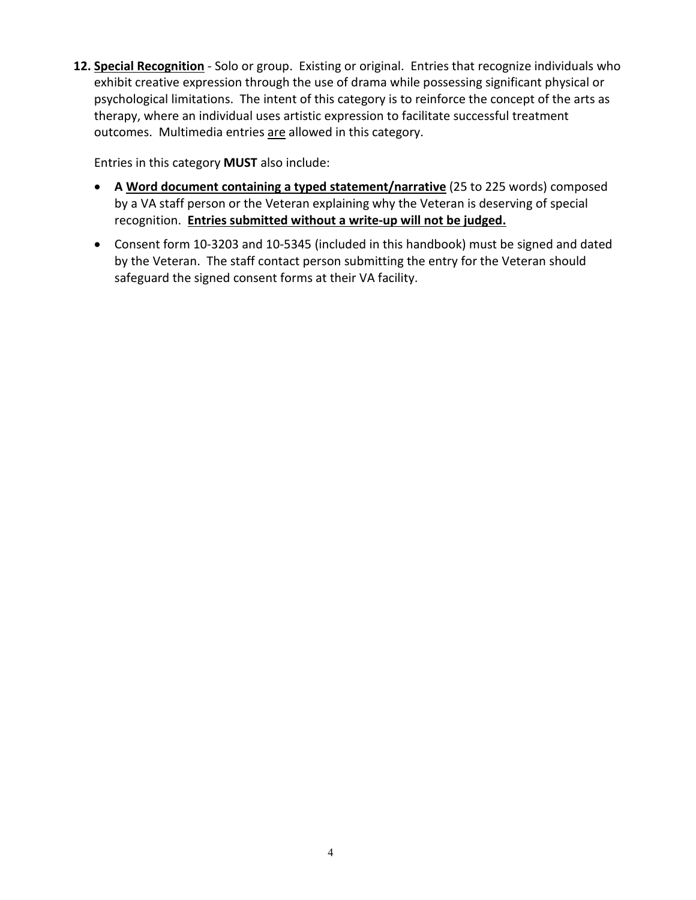**12. Special Recognition** - Solo or group. Existing or original. Entries that recognize individuals who exhibit creative expression through the use of drama while possessing significant physical or psychological limitations. The intent of this category is to reinforce the concept of the arts as therapy, where an individual uses artistic expression to facilitate successful treatment outcomes. Multimedia entries are allowed in this category.

Entries in this category **MUST** also include:

- **A Word document containing a typed statement/narrative** (25 to 225 words) composed by a VA staff person or the Veteran explaining why the Veteran is deserving of special recognition. **Entries submitted without a write-up will not be judged.**
- Consent form 10-3203 and 10-5345 (included in this handbook) must be signed and dated by the Veteran. The staff contact person submitting the entry for the Veteran should safeguard the signed consent forms at their VA facility.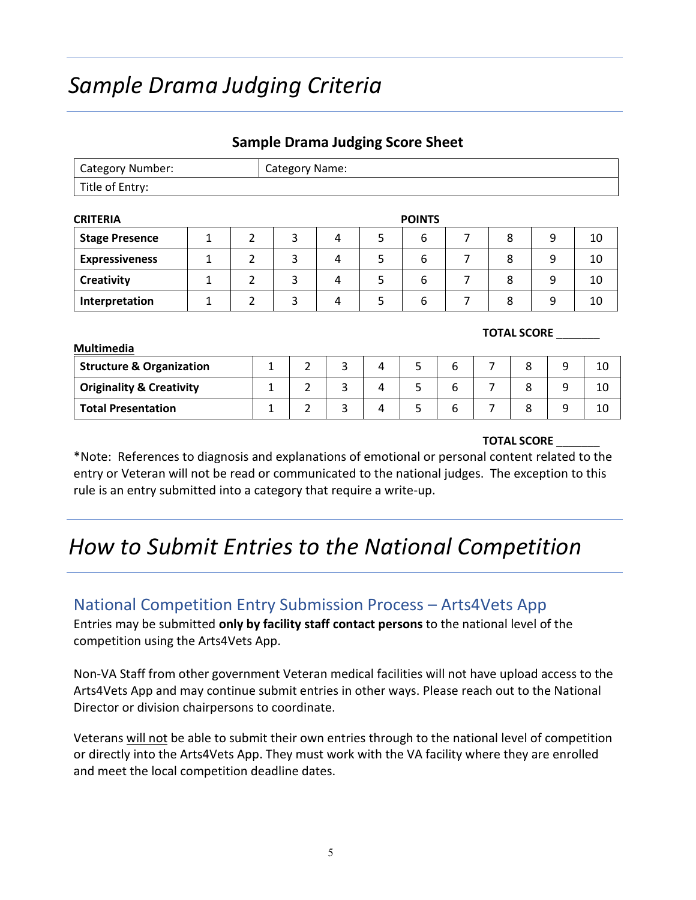# *Sample Drama Judging Criteria*

### **Sample Drama Judging Score Sheet**

| Category Number: | Category Name: |
|------------------|----------------|
| Title of Entry:  |                |

| <b>CRITERIA</b>       | <b>POINTS</b> |  |  |   |  |   |  |  |   |    |
|-----------------------|---------------|--|--|---|--|---|--|--|---|----|
| <b>Stage Presence</b> | 9<br>b        |  |  |   |  |   |  |  |   | 10 |
| <b>Expressiveness</b> |               |  |  |   |  | b |  |  | 9 | 10 |
| Creativity            |               |  |  | 4 |  | h |  |  | 9 | 10 |
| Interpretation        |               |  |  | Δ |  | h |  |  | 9 | 10 |

| <b>Multimedia</b>                   |  |  |   |   |    |
|-------------------------------------|--|--|---|---|----|
| <b>Structure &amp; Organization</b> |  |  |   | ပ | 10 |
| <b>Originality &amp; Creativity</b> |  |  |   |   | 10 |
| <b>Total Presentation</b>           |  |  | o |   | 10 |

#### **TOTAL SCORE** \_\_\_\_\_\_\_

 **TOTAL SCORE** \_\_\_\_\_\_\_

\*Note: References to diagnosis and explanations of emotional or personal content related to the entry or Veteran will not be read or communicated to the national judges. The exception to this rule is an entry submitted into a category that require a write-up.

## *How to Submit Entries to the National Competition*

### National Competition Entry Submission Process – Arts4Vets App

Entries may be submitted **only by facility staff contact persons** to the national level of the competition using the Arts4Vets App.

Non-VA Staff from other government Veteran medical facilities will not have upload access to the Arts4Vets App and may continue submit entries in other ways. Please reach out to the National Director or division chairpersons to coordinate.

Veterans will not be able to submit their own entries through to the national level of competition or directly into the Arts4Vets App. They must work with the VA facility where they are enrolled and meet the local competition deadline dates.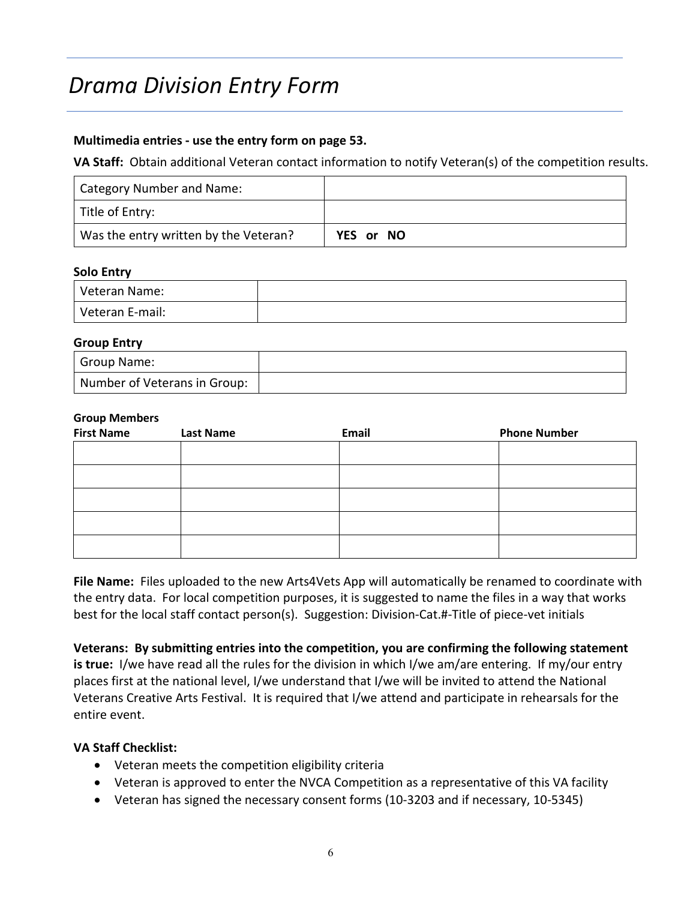### *Drama Division Entry Form*

#### **Multimedia entries - use the entry form on page 53.**

**VA Staff:** Obtain additional Veteran contact information to notify Veteran(s) of the competition results.

| Category Number and Name:             |           |
|---------------------------------------|-----------|
| Title of Entry:                       |           |
| Was the entry written by the Veteran? | YES or NO |

#### **Solo Entry**

| Veteran Name:   |  |
|-----------------|--|
| Veteran E-mail: |  |

#### **Group Entry**

| Group Name:                  |  |
|------------------------------|--|
| Number of Veterans in Group: |  |

#### **Group Members**

| <b>First Name</b> | <b>Last Name</b> | Email | <b>Phone Number</b> |
|-------------------|------------------|-------|---------------------|
|                   |                  |       |                     |
|                   |                  |       |                     |
|                   |                  |       |                     |
|                   |                  |       |                     |
|                   |                  |       |                     |

**File Name:** Files uploaded to the new Arts4Vets App will automatically be renamed to coordinate with the entry data. For local competition purposes, it is suggested to name the files in a way that works best for the local staff contact person(s). Suggestion: Division-Cat.#-Title of piece-vet initials

**Veterans: By submitting entries into the competition, you are confirming the following statement is true:** I/we have read all the rules for the division in which I/we am/are entering. If my/our entry places first at the national level, I/we understand that I/we will be invited to attend the National Veterans Creative Arts Festival. It is required that I/we attend and participate in rehearsals for the entire event.

#### **VA Staff Checklist:**

- Veteran meets the competition eligibility criteria
- Veteran is approved to enter the NVCA Competition as a representative of this VA facility
- Veteran has signed the necessary consent forms (10-3203 and if necessary, 10-5345)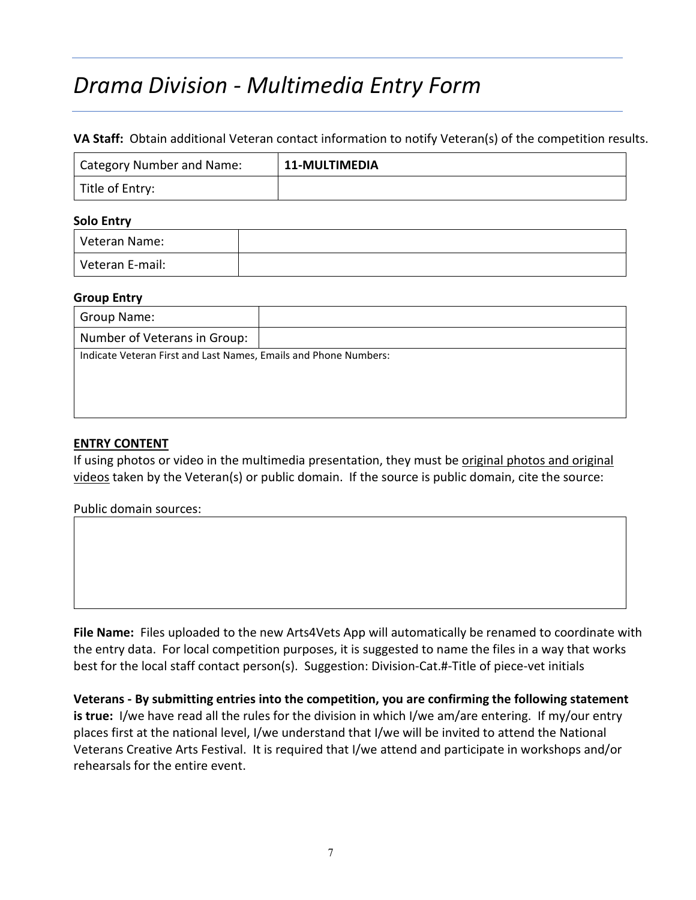# *Drama Division - Multimedia Entry Form*

#### **VA Staff:** Obtain additional Veteran contact information to notify Veteran(s) of the competition results.

| Category Number and Name: | <b>11-MULTIMEDIA</b> |
|---------------------------|----------------------|
| Title of Entry:           |                      |

#### **Solo Entry**

| Veteran Name:   |  |
|-----------------|--|
| Veteran E-mail: |  |

#### **Group Entry**

| Group Name:                                                      |  |
|------------------------------------------------------------------|--|
| Number of Veterans in Group:                                     |  |
| Indicate Veteran First and Last Names, Emails and Phone Numbers: |  |
|                                                                  |  |
|                                                                  |  |
|                                                                  |  |

#### **ENTRY CONTENT**

If using photos or video in the multimedia presentation, they must be original photos and original videos taken by the Veteran(s) or public domain. If the source is public domain, cite the source:

Public domain sources:

**File Name:** Files uploaded to the new Arts4Vets App will automatically be renamed to coordinate with the entry data. For local competition purposes, it is suggested to name the files in a way that works best for the local staff contact person(s). Suggestion: Division-Cat.#-Title of piece-vet initials

**Veterans - By submitting entries into the competition, you are confirming the following statement is true:** I/we have read all the rules for the division in which I/we am/are entering. If my/our entry places first at the national level, I/we understand that I/we will be invited to attend the National Veterans Creative Arts Festival. It is required that I/we attend and participate in workshops and/or rehearsals for the entire event.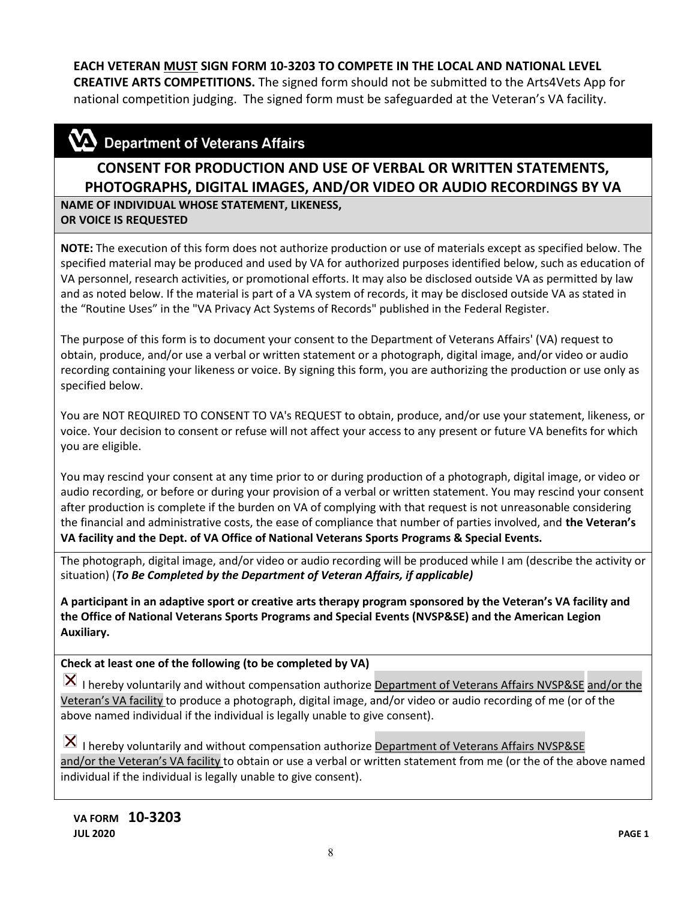#### **EACH VETERAN MUST SIGN FORM 10-3203 TO COMPETE IN THE LOCAL AND NATIONAL LEVEL**

**CREATIVE ARTS COMPETITIONS.** The signed form should not be submitted to the Arts4Vets App for national competition judging. The signed form must be safeguarded at the Veteran's VA facility.

### $\mathbf{\Sigma}$  Department of Veterans Affairs

### **CONSENT FOR PRODUCTION AND USE OF VERBAL OR WRITTEN STATEMENTS, PHOTOGRAPHS, DIGITAL IMAGES, AND/OR VIDEO OR AUDIO RECORDINGS BY VA**

**NAME OF INDIVIDUAL WHOSE STATEMENT, LIKENESS, OR VOICE IS REQUESTED**

**NOTE:** The execution of this form does not authorize production or use of materials except as specified below. The specified material may be produced and used by VA for authorized purposes identified below, such as education of VA personnel, research activities, or promotional efforts. It may also be disclosed outside VA as permitted by law and as noted below. If the material is part of a VA system of records, it may be disclosed outside VA as stated in the "Routine Uses" in the "VA Privacy Act Systems of Records" published in the Federal Register.

The purpose of this form is to document your consent to the Department of Veterans Affairs' (VA) request to obtain, produce, and/or use a verbal or written statement or a photograph, digital image, and/or video or audio recording containing your likeness or voice. By signing this form, you are authorizing the production or use only as specified below.

You are NOT REQUIRED TO CONSENT TO VA's REQUEST to obtain, produce, and/or use your statement, likeness, or voice. Your decision to consent or refuse will not affect your access to any present or future VA benefits for which you are eligible.

You may rescind your consent at any time prior to or during production of a photograph, digital image, or video or audio recording, or before or during your provision of a verbal or written statement. You may rescind your consent after production is complete if the burden on VA of complying with that request is not unreasonable considering the financial and administrative costs, the ease of compliance that number of parties involved, and **the Veteran's VA facility and the Dept. of VA Office of National Veterans Sports Programs & Special Events.**

The photograph, digital image, and/or video or audio recording will be produced while I am (describe the activity or situation) (*To Be Completed by the Department of Veteran Affairs, if applicable)* 

**A participant in an adaptive sport or creative arts therapy program sponsored by the Veteran's VA facility and the Office of National Veterans Sports Programs and Special Events (NVSP&SE) and the American Legion Auxiliary.**

#### **Check at least one of the following (to be completed by VA)**

I hereby voluntarily and without compensation authorize Department of Veterans Affairs NVSP&SE and/or the Veteran's VA facility to produce a photograph, digital image, and/or video or audio recording of me (or of the above named individual if the individual is legally unable to give consent).

 $\vert X \vert$  I hereby voluntarily and without compensation authorize Department of Veterans Affairs NVSP&SE and/or the Veteran's VA facility to obtain or use a verbal or written statement from me (or the of the above named individual if the individual is legally unable to give consent).